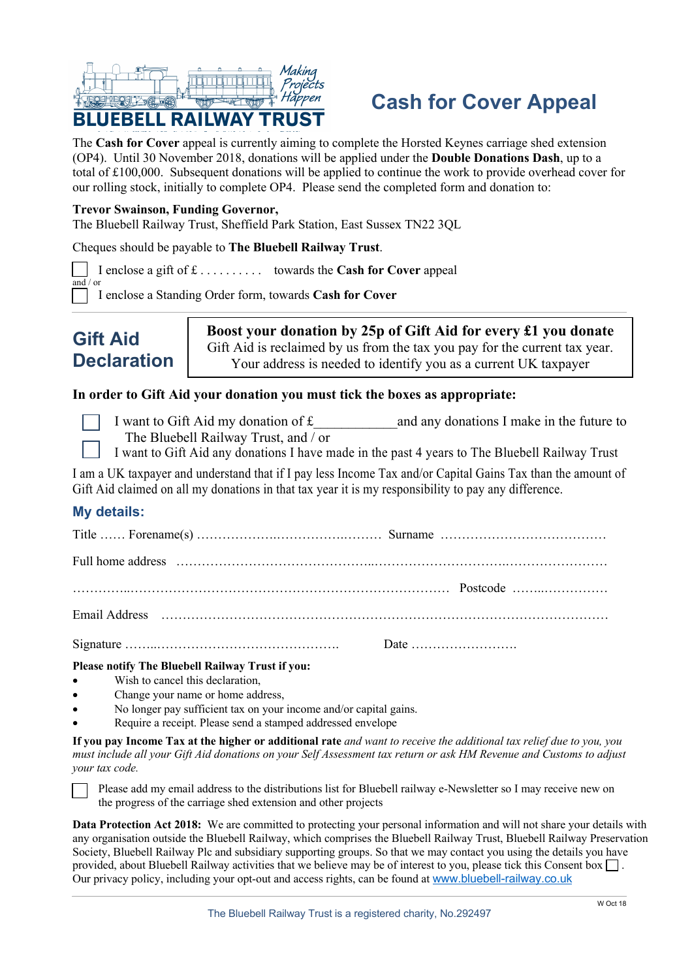

# **Cash for Cover Appeal**

The **Cash for Cover** appeal is currently aiming to complete the Horsted Keynes carriage shed extension (OP4). Until 30 November 2018, donations will be applied under the **Double Donations Dash**, up to a total of £100,000. Subsequent donations will be applied to continue the work to provide overhead cover for our rolling stock, initially to complete OP4. Please send the completed form and donation to:

#### **Trevor Swainson, Funding Governor,**

The Bluebell Railway Trust, Sheffield Park Station, East Sussex TN22 3QL

Cheques should be payable to **The Bluebell Railway Trust**.

I enclose a gift of £ . . . . . . . . . . towards the **Cash for Cover** appeal

I enclose a Standing Order form, towards **Cash for Cover**



**Boost your donation by 25p of Gift Aid for every £1 you donate** Gift Aid is reclaimed by us from the tax you pay for the current tax year. Your address is needed to identify you as a current UK taxpayer

## **In order to Gift Aid your donation you must tick the boxes as appropriate:**

and / or

- I want to Gift Aid my donation of £ and any donations I make in the future to The Bluebell Railway Trust, and / or
- I want to Gift Aid any donations I have made in the past 4 years to The Bluebell Railway Trust

I am a UK taxpayer and understand that if I pay less Income Tax and/or Capital Gains Tax than the amount of Gift Aid claimed on all my donations in that tax year it is my responsibility to pay any difference.

# **My details:**

| Full home address encontractive contained and contained and contained and contained and contained and contained and contained and contained and contained and contained and contained and contained and contained and containe |  |
|--------------------------------------------------------------------------------------------------------------------------------------------------------------------------------------------------------------------------------|--|
|                                                                                                                                                                                                                                |  |
|                                                                                                                                                                                                                                |  |
|                                                                                                                                                                                                                                |  |

**Please notify The Bluebell Railway Trust if you:**

- Wish to cancel this declaration,
- Change your name or home address.
- No longer pay sufficient tax on your income and/or capital gains.
- Require a receipt. Please send a stamped addressed envelope

**If you pay Income Tax at the higher or additional rate** *and want to receive the additional tax relief due to you, you must include all your Gift Aid donations on your Self Assessment tax return or ask HM Revenue and Customs to adjust your tax code.*



Please add my email address to the distributions list for Bluebell railway e-Newsletter so I may receive new on the progress of the carriage shed extension and other projects

**Data Protection Act 2018:** We are committed to protecting your personal information and will not share your details with any organisation outside the Bluebell Railway, which comprises the Bluebell Railway Trust, Bluebell Railway Preservation Society, Bluebell Railway Plc and subsidiary supporting groups. So that we may contact you using the details you have provided, about Bluebell Railway activities that we believe may be of interest to you, please tick this Consent box  $\Box$ . Our privacy policy, including your opt-out and access rights, can be found at www.bluebell-railway.co.uk